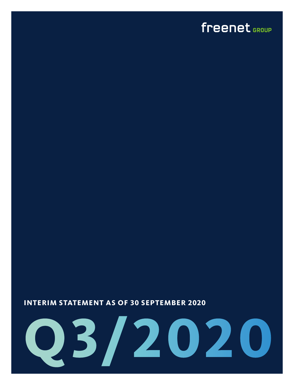### <span id="page-0-0"></span>freenet GROUP

#### **INTERIM STATEMENT AS OF 30 SEPTEMBER 2020**

# **Q3/2020**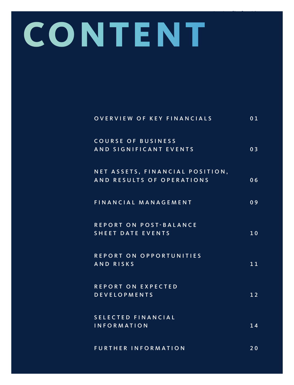# **CONTENT**

| OVERVIEW OF KEY FINANCIALS                                   | 01             |
|--------------------------------------------------------------|----------------|
| COURSE OF BUSINESS<br>AND SIGNIFICANT EVENTS                 | 0 <sub>3</sub> |
| NET ASSETS, FINANCIAL POSITION,<br>AND RESULTS OF OPERATIONS | 06             |
| FINANCIAL MANAGEMENT                                         | 09             |
| REPORT ON POST-BALANCE<br><b>SHEET DATE EVENTS</b>           | 10             |
| REPORT ON OPPORTUNITIES<br>AND RISKS                         | 11             |
| REPORT ON EXPECTED<br><b>DEVELOPMENTS</b>                    | 12             |
| SELECTED FINANCIAL<br><b>INFORMATION</b>                     | 14             |
| <b>FURTHER INFORMATION</b>                                   | 20             |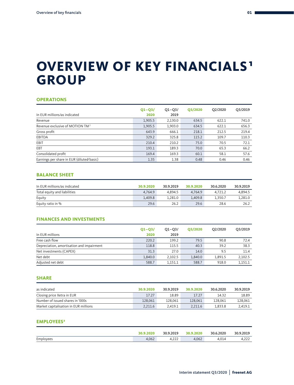### <span id="page-2-0"></span>**OVERVIEW OF KEY FINANCIALS<sup>1</sup> GROUP**

#### **OPERATIONS**

|                                             | $Q1 - Q3/$ | $Q1 - Q3/$ | <b>Q3/2020</b> | Q2/2020 | Q3/2019 |
|---------------------------------------------|------------|------------|----------------|---------|---------|
| In EUR millions/as indicated                | 2020       | 2019       |                |         |         |
| Revenue                                     | 1,905.5    | 2,130.0    | 634.5          | 622.1   | 741.0   |
| Revenue exclusive of MOTION TM <sup>2</sup> | 1,905.5    | 1,903.0    | 634.5          | 622.1   | 656.3   |
| Gross profit                                | 643.9      | 666.1      | 218.1          | 212.5   | 219.4   |
| EBITDA                                      | 329.2      | 325.8      | 115.2          | 109.7   | 110.3   |
| EBIT                                        | 210.4      | 210.2      | 75.0           | 70.5    | 72.1    |
| EBT                                         | 193.1      | 189.3      | 70.0           | 65.3    | 66.2    |
| Consolidated profit                         | 169.4      | 169.3      | 60.1           | 58.1    | 57.6    |
| Earnings per share in EUR (diluted/basic)   | 1.35       | 1.38       | 0.48           | 0.46    | 0.46    |

#### **BALANCE SHEET**

| In EUR millions/as indicated | 30.9.2020 | 30.9.2019 | 30.9.2020 | 30.6.2020 | 30.9.2019 |
|------------------------------|-----------|-----------|-----------|-----------|-----------|
| Total equity and liabilities | 4.764.9   | 4.894.5   | 4.764.9   | 4.721.2   | 4.894.5   |
| Equity                       | 1.409.8   | 1.281.0   | 1.409.8   | 1.350.7   | 1.281.0   |
| Equity ratio in %            | 29.6      | 26.2      | 29.6      | 28.6      | 26.2      |

#### **FINANCES AND INVESTMENTS**

| In EUR millions                           | $Q1 - Q3/$<br>2020 | $Q1 - Q3/$<br>2019 | O3/2020 | O <sub>2</sub> /2020 | O3/2019 |
|-------------------------------------------|--------------------|--------------------|---------|----------------------|---------|
| Free cash flow                            | 220.2              | 199.2              | 79.5    | 90.8                 | 72.4    |
| Depreciation, amortisation and impairment | 118.8              | 115.5              | 40.3    | 39.2                 | 38.3    |
| Net investments (CAPEX)                   | 31.3               | 27.0               | 14.0    | 9.5                  | 11.4    |
| Net debt                                  | 1.840.0            | 2.102.5            | 1.840.0 | 1.891.5              | 2,102.5 |
| Adjusted net debt                         | 588.7              | 1.151.1            | 588.7   | 918.0                | 1.151.1 |

#### **SHARE**

| as indicated                          | 30.9.2020 | 30.9.2019 | 30.9.2020 | 30.6.2020 | 30.9.2019 |
|---------------------------------------|-----------|-----------|-----------|-----------|-----------|
| Closing price Xetra in EUR            | 17.27     | 18.89     | 17.27     | 14.32     | 18.89     |
| Number of issued shares in '000s      | 128,061   | 128.061   | 128,061   | 128.061   | 128,061   |
| Market capitalisation in EUR millions | 2.211.6   | 2.419.1   | 2.211.6   | 1.833.8   | 2.419.1   |

#### **EMPLOYEES**<sup>3</sup>

|           | 30.9.2020 | 30.9.2019 | 30.9.2020 | 30.6.2020 | 30.9.2019 |
|-----------|-----------|-----------|-----------|-----------|-----------|
| Employees | 4,062     | 4,222     | 4,062     | 4.014     | 4,222     |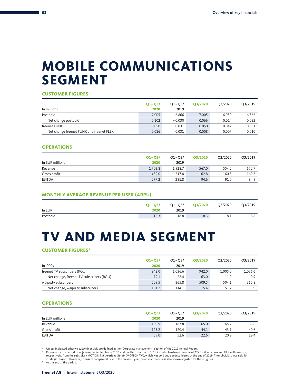### **MOBILE COMMUNICATIONS SEGMENT**

**CUSTOMER FIGURES <sup>3</sup>**

|                                          | $Q1 - Q3/$ | $Q1 - Q3/$ | <b>Q3/2020</b> | O <sub>2</sub> /2020 | Q3/2019 |
|------------------------------------------|------------|------------|----------------|----------------------|---------|
| In millions                              | 2020       | 2019       |                |                      |         |
| Postpaid                                 | 7.005      | 6.866      | 7.005          | 6.939                | 6.866   |
| Net change postpaid                      | 0.102      | $-0.030$   | 0.066          | 0.014                | 0.032   |
| freenet FUNK                             | 0.050      | 0.031      | 0.050          | 0.042                | 0.031   |
| Net change freenet FUNK and freenet FLEX | 0.016      | 0.031      | 0.008          | 0.007                | 0.010   |

#### **OPERATIONS**

| In EUR millions | $Q1 - Q3/$<br>2020 | $Q1 - Q3/$<br>2019 | O3/2020 | O2/2020 | Q3/2019 |
|-----------------|--------------------|--------------------|---------|---------|---------|
| Revenue         | 1.703.8            | 1.928.7            | 567.0   | 554.2   | 672.7   |
| Gross profit    | 489.0              | 517.8              | 162.8   | 160.8   | 169.3   |
| <b>EBITDA</b>   | 277.2              | 281.8              | 94.6    | 91.0    | 94.9    |

#### **MONTHLY AVERAGE REVENUE PER USER (ARPU)**

|          | $Q1 - Q3/$ | Q1-Q3/ | Q3/2020 | Q2/2020 | Q3/2019 |
|----------|------------|--------|---------|---------|---------|
| In EUR   | 2020       | 2019   |         |         |         |
| Postpaid | 18.3       | 18.8   | 18.3    | 18.1    | 18.8    |

### **TV AND MEDIA SEGMENT**

#### **CUSTOMER FIGURES<sup>3</sup>**

|                                          | $Q1 - Q3/$ | $Q1 - Q3/$ | O3/2020 | O <sub>2</sub> /2020 | O3/2019 |
|------------------------------------------|------------|------------|---------|----------------------|---------|
| In '000s                                 | 2020       | 2019       |         |                      |         |
| freenet TV subscribers (RGU)             | 942.0      | 1.036.6    | 942.0   | 1.005.0              | 1,036.6 |
| Net change, freenet TV subscribers (RGU) | $-79.1$    | 22.4       | $-63.0$ | $-11.9$              | $-0.9$  |
| waipu.tv subscribers                     | 509.5      | 365.8      | 509.5   | 504.1                | 365.8   |
| Net change, waipu.tv subscribers         | 101.2      | 114.1      | 5.4     | 51.7                 | 33.9    |

#### **OPERATIONS**

| In EUR millions | $Q1 - Q3/$<br>2020 | $Q1 - Q3/$<br>2019 | <b>Q3/2020</b> | O2/2020 | Q3/2019 |
|-----------------|--------------------|--------------------|----------------|---------|---------|
| Revenue         | 190.9              | 187.8              | 65.0           | 65.2    | 63.8    |
| Gross profit    | 125.2              | 120.4              | 44.1           | 43.1    | 40.6    |
| <b>EBITDA</b>   | 59.0               | 52.6               | 22.6           | 20.9    | 19.4    |

1 Unless indicated otherwise, key financials are defined in the "Corporate management" section of the 2019 Annual Report.

Revenue for the period from January to September of 2019 and the third quarter of 2019 includes hardware revenue of 227.0 million euros and 84.7 million euros,<br>respectively, from the subsidiary MOTION TM Vertriebs GmbH (MO strategic reasons. However, to ensure comparability with the previous year, prior-year revenue is also shown adjusted for these figures. 3 At the end of the period.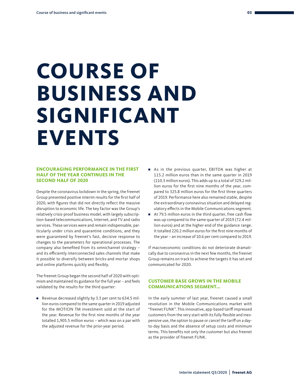# <span id="page-4-0"></span>**COURSE OF BUSINESS AND SIGNIFICANT EVENTS**

#### **ENCOURAGING PERFORMANCE IN THE FIRST HALF OF THE YEAR CONTINUES IN THE SECOND HALF OF 2020**

Despite the coronavirus lockdown in the spring, the freenet Group presented positive interim results for the first half of 2020, with figures that did not directly reflect the massive disruption to economic life. The key factor was the Group's relatively crisis-proof business model, with largely subscription-based telecommunications, Internet, and TV and radio services. These services were and remain indispensable, particularly under crisis and quarantine conditions, and they were guaranteed by freenet's fast, decisive response to changes to the parameters for operational processes. The company also benefited from its omnichannel strategy – and its efficiently interconnected sales channels that make it possible to diversify between bricks-and-mortar shops and online platforms quickly and flexibly.

The freenet Group began the second half of 2020 with optimism and maintained its guidance for the full year – and feels validated by the results for the third quarter:

■ Revenue decreased slightly by 3.3 per cent to 634.5 million euros compared to the same quarter in 2019 adjusted for the MOTION TM investment sold at the start of the year. Revenue for the first nine months of the year totalled 1,905.5 million euros – which was on a par with the adjusted revenue for the prior-year period.

- As in the previous quarter, EBITDA was higher at 115.2 million euros than in the same quarter in 2019 (110.3 million euros). This adds up to a total of 329.2 million euros for the first nine months of the year, compared to 325.8 million euros for the first three quarters of 2019. Performance here also remained stable, despite the extraordinary coronavirus situation and delayed regulatory effects in the Mobile Communications segment.
- At 79.5 million euros in the third quarter, free cash flow was up compared to the same quarter of 2019 (72.4 million euros) and at the higher end of the guidance range. It totalled 220.2 million euros for the first nine months of the year – an increase of 10.6 per cent compared to 2019.

If macroeconomic conditions do not deteriorate dramatically due to coronavirus in the next few months, the freenet Group remains on track to achieve the targets it has set and communicated for 2020.

#### **CUSTOMER BASE GROWS IN THE MOBILE COMMUNICATIONS SEGMENT...**

In the early summer of last year, freenet caused a small revolution in the Mobile Communications market with "freenet FUNK". This innovative, app-based tariff impressed customers from the very start with its fully flexible and inexpensive use, the option to pause or cancel the tariff on a dayto-day basis and the absence of setup costs and minimum terms. This benefits not only the customer but also freenet as the provider of freenet FUNK.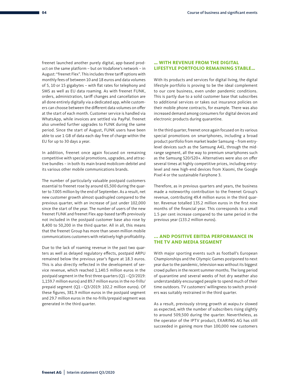freenet launched another purely digital, app-based product on the same platform – but on Vodafone's network – in August: "freenet Flex". This includes three tariff options with monthly fees of between 10 and 18 euros and data volumes of 5, 10 or 15 gigabytes – with flat rates for telephony and SMS as well as EU data roaming. As with freenet FUNK, orders, administration, tariff changes and cancellation are all done entirely digitally via a dedicated app, while customers can choose between the different data volumes on offer at the start of each month. Customer service is handled via WhatsApp, while invoices are settled via PayPal. freenet also unveiled further upgrades to FUNK during the same period. Since the start of August, FUNK users have been able to use 1 GB of data each day free of charge within the EU for up to 30 days a year.

In addition, freenet once again focused on remaining competitive with special promotions, upgrades, and attractive bundles – in both its main brand mobilcom-debitel and its various other mobile communications brands.

The number of particularly valuable postpaid customers essential to freenet rose by around 65,500 during the quarter to 7.005 million by the end of September. As a result, net new customer growth almost quadrupled compared to the previous quarter, with an increase of just under 102,000 since the start of the year. The number of users of the new freenet FUNK and freenet Flex app-based tariffs previously not included in the postpaid customer base also rose by 8,400 to 50,200 in the third quarter. All in all, this means that the freenet Group has more than seven million mobile communications customers with relatively high profitability.

Due to the lack of roaming revenue in the past two quarters as well as delayed regulatory effects, postpaid ARPU remained below the previous year's figure at 18.3 euros. This is also directly reflected in the development of service revenue, which reached 1,140.5 million euros in the postpaid segment in the first three quarters (Q1 –Q3/2019: 1,159.7 million euros) and 89.7 million euros in the no-frills/ prepaid segment (Q1 –Q3/2019: 102.2 million euros). Of these figures, 381.9 million euros in the postpaid segment and 29.7 million euros in the no-frills/prepaid segment was generated in the third quarter.

#### **… WITH REVENUE FROM THE DIGITAL LIFESTYLE PORTFOLIO REMAINING STABLE…**

With its products and services for digital living, the digital lifestyle portfolio is proving to be the ideal complement to our core business, even under pandemic conditions. This is partly due to a solid customer base that subscribes to additional services or takes out insurance policies on their mobile phone contracts, for example. There was also increased demand among consumers for digital devices and electronic products during quarantine.

In the third quarter, freenet once again focused on its various special promotions on smartphones, including a broad product portfolio from market leader Samsung – from entrylevel devices such as the Samsung A41, through the midrange segment, all the way to premium smartphones such as the Samsung S20/S20+. Alternatives were also on offer several times at highly competitive prices, including entrylevel and new high-end devices from Xiaomi, the Google Pixel 4 or the sustainable Fairphone 3.

Therefore, as in previous quarters and years, the business made a noteworthy contribution to the freenet Group's revenue, contributing 49.4 million euros in the third quarter. Revenue totalled 135.2 million euros in the first nine months of the financial year. This corresponds to a small 1.5 per cent increase compared to the same period in the previous year (133.2 million euros).

#### **... AND POSITIVE EBITDA PERFORMANCE IN THE TV AND MEDIA SEGMENT**

With major sporting events such as football's European Championships and the Olympic Games postponed to next year due to the pandemic, television was without its biggest crowd pullers in the recent summer months. The long period of quarantine and several weeks of hot dry weather also understandably encouraged people to spend much of their time outdoors. TV customers' willingness to switch providers was suitably restrained in the third quarter.

As a result, previously strong growth at waipu.tv slowed as expected, with the number of subscribers rising slightly to around 509,500 during the quarter. Nevertheless, as the operator of the IPTV product, EXARING AG has still succeeded in gaining more than 100,000 new customers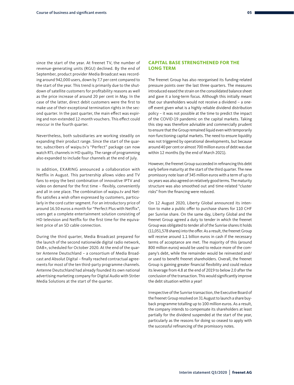since the start of the year. At freenet TV, the number of revenue-generating units (RGU) declined. By the end of September, product provider Media Broadcast was recording around 942,000 users, down by 7.7 per cent compared to the start of the year. This trend is primarily due to the shutdown of satellite customers for profitability reasons as well as the price increase of around 20 per cent in May. In the case of the latter, direct debit customers were the first to make use of their exceptional termination rights in the second quarter. In the past quarter, the main effect was expiring and non-extended 12-month vouchers. This effect could reoccur in the fourth quarter.

Nevertheless, both subsidiaries are working steadily on expanding their product range. Since the start of the quarter, subscribers of waipu.tv's "Perfect" package can now watch RTL channels in HD quality. The range of programming also expanded to include four channels at the end of July.

In addition, EXARING announced a collaboration with Netflix in August. This partnership allows video and TV fans to enjoy the best combination of innovative IPTV and video on demand for the first time – flexibly, conveniently and all in one place. The combination of waipu.tv and Netflix satisfies a wish often expressed by customers, particularly in the cord cutter segment. For an introductory price of around 16.50 euros a month for "Perfect Plus with Netflix", users get a complete entertainment solution consisting of HD television and Netflix for the first time for the equivalent price of an SD cable connection.

During the third quarter, Media Broadcast prepared for the launch of the second nationwide digital radio network, DAB+, scheduled for October 2020. At the end of the quarter Antenne Deutschland – a consortium of Media Broadcast and Absolut Digital – finally reached contractual agreements for most of the ten third-party programme channels. Antenne Deutschland had already founded its own national advertising marketing company for Digital Audio with Ströer Media Solutions at the start of the quarter.

#### **CAPITAL BASE STRENGTHENED FOR THE LONG TERM**

The freenet Group has also reorganised its funding-related pressure points over the last three quarters. The measures introduced eased the strain on the consolidated balance sheet and gave it a long-term focus. Although this initially meant that our shareholders would not receive a dividend – a oneoff event given what is a highly reliable dividend distribution policy – it was not possible at the time to predict the impact of the COVID-19 pandemic on the capital markets. Taking this step was therefore advisable and commercially prudent to ensure that the Group remained liquid even with temporarily non-functioning capital markets. The need to ensure liquidity was not triggered by operational developments, but because around 40 per cent or almost 700 million euros of debt was due within 12 months (by the end of March 2021).

However, the freenet Group succeeded in refinancing this debt early before maturity at the start of the third quarter. The new promissory note loan of 345 million euros with a term of up to six years was also agreed on relatively good terms. The maturity structure was also smoothed out and time-related "cluster risks" from the financing were reduced.

On 12 August 2020, Liberty Global announced its intention to make a public offer to purchase shares for 110 CHF per Sunrise share. On the same day, Liberty Global and the freenet Group agreed a duty to tender in which the freenet Group was obligated to tender all of the Sunrise shares it holds (11,051,578 shares) into the offer. As a result, the freenet Group will receive around 1.1 billion euros in cash if the necessary terms of acceptance are met. The majority of this (around 800 million euros) would be used to reduce more of the company's debt, while the remainder would be reinvested and/ or used to benefit freenet shareholders. Overall, the freenet Group is gaining greater financial flexibility and could reduce its leverage from 4.8 at the end of 2019 to below 2.0 after the conclusion of the transaction. This would significantly improve the debt situation within a year!

Irrespective of the Sunrise transaction, the Executive Board of the freenet Group resolved on 31 August to launch a share buyback programme totalling up to 100 million euros. As a result, the company intends to compensate its shareholders at least partially for the dividend suspended at the start of the year, particularly as the reasons for doing so ceased to apply with the successful refinancing of the promissory notes.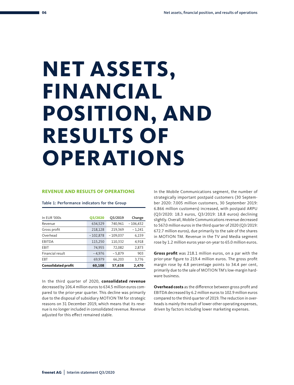# <span id="page-7-0"></span>**NET ASSETS, FINANCIAL POSITION, AND RESULTS OF OPERATIONS**

#### **REVENUE AND RESULTS OF OPERATIONS**

| In EUR '000s               | <b>Q3/2020</b> | Q3/2019    | Change     |
|----------------------------|----------------|------------|------------|
| Revenue                    | 634,529        | 740,961    | $-106,432$ |
| Gross profit               | 218,128        | 219,369    | $-1,241$   |
| Overhead                   | $-102,878$     | $-109,037$ | 6,159      |
| <b>EBITDA</b>              | 115,250        | 110,332    | 4,918      |
| EBIT                       | 74,955         | 72,082     | 2,873      |
| Financial result           | $-4.976$       | $-5,879$   | 903        |
| <b>EBT</b>                 | 69.979         | 66,203     | 3,776      |
| <b>Consolidated profit</b> | 60,108         | 57,638     | 2.470      |

Table 1: Performance indicators for the Group

In the third quarter of 2020, **consolidated revenue** decreased by 106.4 million euros to 634.5 million euros compared to the prior-year quarter. This decline was primarily due to the disposal of subsidiary MOTION TM for strategic reasons on 31 December 2019, which means that its revenue is no longer included in consolidated revenue. Revenue adjusted for this effect remained stable.

In the Mobile Communications segment, the number of strategically important postpaid customers (30 September 2020: 7.005 million customers, 30 September 2019: 6.866 million customers) increased, with postpaid ARPU (Q3/2020: 18.3 euros, Q3/2019: 18.8 euros) declining slightly. Overall, Mobile Communications revenue decreased to 567.0 million euros in the third quarter of 2020 (Q3/2019: 672.7 million euros), due primarily to the sale of the shares in MOTION TM. Revenue in the TV and Media segment rose by 1.2 million euros year-on-year to 65.0 million euros.

**Gross profit** was 218.1 million euros, on a par with the prior-year figure to 219.4 million euros. The gross profit margin rose by 4.8 percentage points to 34.4 per cent, primarily due to the sale of MOTION TM's low-margin hardware business.

**Overhead costs** as the difference between gross profit and EBITDA decreased by 6.2 million euros to 102.9 million euros compared to the third quarter of 2019. The reduction in overheads is mainly the result of lower other operating expenses, driven by factors including lower marketing expenses.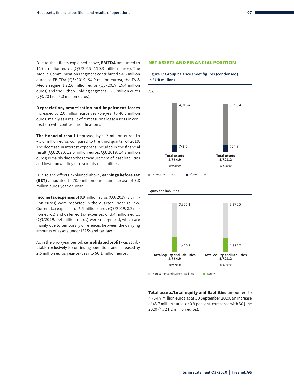Due to the effects explained above, **EBITDA** amounted to 115.2 million euros (Q3/2019: 110.3 million euros). The Mobile Communications segment contributed 94.6 million euros to EBITDA (Q3/2019: 94.9 million euros), the TV& Media segment 22.6 million euros (Q3/2019: 19.4 million euros) and the Other/Holding segment – 2.0 million euros (Q3/2019: – 4.0 million euros).

**Depreciation, amortisation and impairment losses** increased by 2.0 million euros year-on-year to 40.3 million euros, mainly as a result of remeasuring lease assets in connection with contract modifications.

**The financial result** improved by 0.9 million euros to – 5.0 million euros compared to the third quarter of 2019. The decrease in interest expenses included in the financial result (Q3/2020: 12.0 million euros, Q3/2019: 14.2 million euros) is mainly due to the remeasurement of lease liabilities and lower unwinding of discounts on liabilities.

Due to the effects explained above, **earnings before tax (EBT)** amounted to 70.0 million euros, an increase of 3.8 million euros year-on-year.

**Income tax expenses** of 9.9 million euros (Q3/2019: 8.6 milmedine tax expenses of 9.9 million euros (@972019.0.0 million euros) were reported in the quarter under review. Current tax expenses of 6.5 million euros (Q3/2019: 8.2 million euros) and deferred tax expenses of 3.4 million euros (Q3/2019: 0.4 million euros) were recognised, which are mainly due to temporary differences between the carrying amounts of assets under IFRSs and tax law.

As in the prior-year period, **consolidated profit** was attributable exclusively to continuing operations and increased by 2.5 million euros year-on-year to 60.1 million euros.

#### **NET ASSETS AND FINANCIAL POSITION**





**Total assets/total equity and liabilities** amounted to 4,764.9 million euros as at 30 September 2020, an increase of 43.7 million euros, or 0.9 per cent, compared with 30 June 2020 (4,721.2 million euros).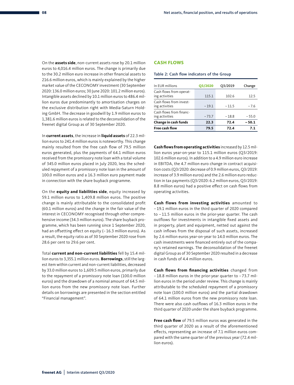On the **assets side**, non-current assets rose by 20.1 million euros to 4,016.4 million euros. The change is primarily due to the 30.2 million euro increase in other financial assets to 216.6 million euros, which is mainly explained by the higher market value of the CECONOMY investment (30 September 2020: 136.0 million euros; 30 June 2020: 101.2 million euros). Intangible assets declined by 10.1 million euros to 486.4 million euros due predominantly to amortisation charges on the exclusive distribution right with Media-Saturn Holding GmbH. The decrease in goodwill by 1.9 million euros to 1,381.6 million euros is related to the deconsolidation of the freenet digital Group as of 30 September 2020.

In **current assets**, the increase in **liquid assets** of 22.3 million euros to 241.4 million euros is noteworthy. This change mainly resulted from the free cash flow of 79.5 million euros generated, plus the payments of 64.1 million euros received from the promissory note loan with a total volume of 345.0 million euros placed in July 2020, less the scheduled repayment of a promissory note loan in the amount of 100.0 million euros and a 16.3 million euro payment made in connection with the share buyback programme.

On the **equity and liabilities side**, equity increased by 59.1 million euros to 1,409.8 million euros. The positive change is mainly attributable to the consolidated profit (60.1 million euros) and the change in the fair value of the interest in CECONOMY recognised through other comprehensive income (34.3 million euros). The share buyback programme, which has been running since 1 September 2020, had an offsetting effect on equity (– 16.3 million euros). As a result, the equity ratio as of 30 September 2020 rose from 28.6 per cent to 29.6 per cent.

Total **current and non-current liabilities** fell by 15.4 million euros to 3,355.1 million euros. **Borrowings**, still the largest item within current and non-current liabilities, decreased by 33.0 million euros to 1,609.5 million euros, primarily due to the repayment of a promissory note loan (100.0 million euros) and the drawdown of a nominal amount of 64.5 million euros from the new promissory note loan. Further details on borrowings are presented in the section entitled "Financial management".

#### **CASH FLOWS**

#### Table 2: Cash flow indicators of the Group

| In EUR millions                           |                |         |         |
|-------------------------------------------|----------------|---------|---------|
|                                           | <b>Q3/2020</b> | Q3/2019 | Change  |
| Cash flows from operat-<br>ing activities | 115.1          | 102.6   | 12.5    |
| Cash flows from invest-<br>ing activities | $-19.1$        | $-11.5$ | $-7.6$  |
| Cash flows from financ-<br>ing activities | $-73.7$        | $-18.8$ | $-55.0$ |
| Change in cash funds                      | 22.3           | 72.4    | $-50.1$ |
| <b>Free cash flow</b>                     | 79.5           | 72.4    | 7.1     |

**Cash flows from operating activities** increased by 12.5 million euros year-on-year to 115.1 million euros (Q3/2019: 102.6 million euros). In addition to a 4.9 million euro increase in EBITDA, the 4.7 million euro change in contract acquisition costs (Q3/2020: decrease of 0.9 million euros, Q3/2019: increase of 3.9 million euros) and the 2.6 million euro reduction in tax payments (Q3/2020: 6.2 million euros, Q3/2019: 8.8 million euros) had a positive effect on cash flows from operating activities.

**Cash flows from investing activities** amounted to – 19.1 million euros in the third quarter of 2020 compared to – 11.5 million euros in the prior-year quarter. The cash outflows for investments in intangible fixed assets and in property, plant and equipment, netted out against the cash inflows from the disposal of such assets, increased by 2.6 million euros year-on-year to 14.0 million euros. The cash investments were financed entirely out of the company's retained earnings. The deconsolidation of the freenet digital Group as of 30 September 2020 resulted in a decrease in cash funds of 4.4 million euros.

**Cash flows from financing activities** changed from – 18.8 million euros in the prior-year quarter to – 73.7 million euros in the period under review. This change is mainly attributable to the scheduled repayment of a promissory note loan (100.0 million euros) and the partial drawdown of 64.1 million euros from the new promissory note loan. There were also cash outflows of 16.3 million euros in the third quarter of 2020 under the share buyback programme.

**Free cash flow** of 79.5 million euros was generated in the third quarter of 2020 as a result of the aforementioned effects, representing an increase of 7.1 million euros compared with the same quarter of the previous year (72.4 million euros).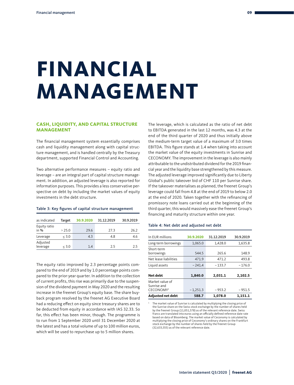# <span id="page-10-0"></span>**FINANCIAL MANAGEMENT**

#### **CASH, LIQUIDITY, AND CAPITAL STRUCTURE MANAGEMENT**

The financial management system essentially comprises cash and liquidity management along with capital structure management, and is handled centrally by the Treasury department, supported Financial Control and Accounting.

Two alternative performance measures – equity ratio and leverage – are an integral part of capital structure management. In addition, an adjusted leverage is also reported for information purposes. This provides a less conservative perspective on debt by including the market values of equity investments in the debt structure.

#### Table 3: Key figures of capital structure management

| as indicated           | Target | 30.9.2020 | 31.12.2019 | 30.9.2019 |
|------------------------|--------|-----------|------------|-----------|
| Equity ratio<br>in $%$ | > 25.0 | 29.6      | 27.3       | 26.2      |
| Leverage               | < 3.0  | 4.3       | 4.8        | 4.6       |
| Adjusted<br>leverage   | < 3.0  | 1.4       | 2.5        | 2.5       |

The equity ratio improved by 2.3 percentage points compared to the end of 2019 and by 1.0 percentage points compared to the prior-year quarter. In addition to the collection of current profits, this rise was primarily due to the suspension of the dividend payment in May 2020 and the resulting increase in the freenet Group's equity base. The share buyback program resolved by the freenet AG Executive Board had a reducing effect on equity since treasury shares are to be deducted from equity in accordance with IAS 32.33. So far, this effect has been minor, though. The programme is to run from 1 September 2020 until 31 December 2020 at the latest and has a total volume of up to 100 million euros, which will be used to repurchase up to 5 million shares.

The leverage, which is calculated as the ratio of net debt to EBITDA generated in the last 12 months, was 4.3 at the end of the third quarter of 2020 and thus initially above the medium-term target value of a maximum of 3.0 times EBITDA. This figure stands at 1.4 when taking into account the market value of the equity investments in Sunrise and CECONOMY. The improvement in the leverage is also mainly attributable to the undistributed dividend for the 2019 financial year and the liquidity base strengthened by this measure. The adjusted leverage improved significantly due to Liberty Global's public takeover bid of CHF 110 per Sunrise share. If the takeover materialises as planned, the freenet Group's leverage could fall from 4.8 at the end of 2019 to below 2.0 at the end of 2020. Taken together with the refinancing of promissory note loans carried out at the beginning of the third quarter, this would massively ease the freenet Group's financing and maturity structure within one year.

#### Table 4: Net debt and adjusted net debt

| In EUR millions                                   | 30.9.2020  | 31.12.2019 | 30.9.2019 |
|---------------------------------------------------|------------|------------|-----------|
| Long-term borrowings                              | 1,065.0    | 1,428.0    | 1,635.8   |
| Short-term<br>borrowings                          | 544.5      | 265.6      | 148.9     |
| Net lease liabilities                             | 471.9      | 471.2      | 493.8     |
| Liquid assets                                     | $-241.4$   | $-133.7$   | $-176.0$  |
| Net debt                                          | 1,840.0    | 2,031.1    | 2,102.5   |
| Market value of<br>Sunrise and<br><b>CECONOMY</b> | $-1,251.3$ | $-953.2$   | $-951.5$  |
| <b>Adjusted net debt</b>                          | 588.7      | 1,078.0    | 1,151.1   |

1 The market value of Sunrise is calculated by multiplying the closing price of the Sunrise share on the Swiss stock exchange by the number of shares held by the freenet Group (11,051,578) as of the relevant reference date. Swiss francs are translated into euros using an officially defined reference date rate based on data of Bloomberg. The market value of Ceconomy is calculated by multiplying the closing price of Ceconomy's ordinary shares on the Frankfurt stock exchange by the number of shares held by the freenet Group (32,633,555) as of the relevant reference date.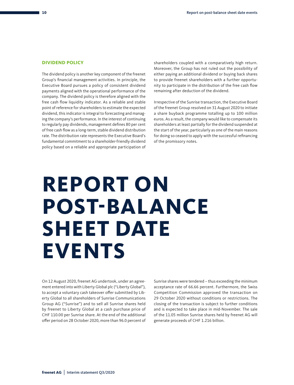#### <span id="page-11-0"></span>**DIVIDEND POLICY**

The dividend policy is another key component of the freenet Group's financial management activities. In principle, the Executive Board pursues a policy of consistent dividend payments aligned with the operational performance of the company. The dividend policy is therefore aligned with the free cash flow liquidity indicator. As a reliable and stable point of reference for shareholders to estimate the expected dividend, this indicator is integral to forecasting and managing the company's performance. In the interest of continuing to regularly pay dividends, management defines 80 per cent of free cash flow as a long-term, stable dividend distribution rate. The distribution rate represents the Executive Board's fundamental commitment to a shareholder-friendly dividend policy based on a reliable and appropriate participation of shareholders coupled with a comparatively high return. Moreover, the Group has not ruled out the possibility of either paying an additional dividend or buying back shares to provide freenet shareholders with a further opportunity to participate in the distribution of the free cash flow remaining after deduction of the dividend.

Irrespective of the Sunrise transaction, the Executive Board of the freenet Group resolved on 31 August 2020 to initiate a share buyback programme totalling up to 100 million euros. As a result, the company would like to compensate its shareholders at least partially for the dividend suspended at the start of the year, particularly as one of the main reasons for doing so ceased to apply with the successful refinancing of the promissory notes.

## **REPORT ON POST-BALANCE SHEET DATE EVENTS**

On 12 August 2020, freenet AG undertook, under an agreement entered into with Liberty Global plc ("Liberty Global"), to accept a voluntary cash takeover offer submitted by Liberty Global to all shareholders of Sunrise Communications Group AG ("Sunrise") and to sell all Sunrise shares held by freenet to Liberty Global at a cash purchase price of CHF 110.00 per Sunrise share. At the end of the additional offer period on 28 October 2020, more than 96.0 percent of Sunrise shares were tendered – thus exceeding the minimum acceptance rate of 66.66 percent. Furthermore, the Swiss Competition Commission approved the transaction on 29 October 2020 without conditions or restrictions. The closing of the transaction is subject to further conditions and is expected to take place in mid-November. The sale of the 11.05 million Sunrise shares held by freenet AG will generate proceeds of CHF 1.216 billion.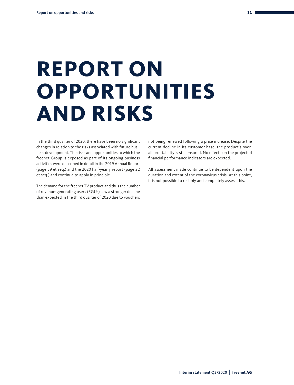# <span id="page-12-0"></span>**REPORT ON OPPORTUNITIES AND RISKS**

In the third quarter of 2020, there have been no significant changes in relation to the risks associated with future business development. The risks and opportunities to which the freenet Group is exposed as part of its ongoing business activities were described in detail in the 2019 Annual Report (page 59 et seq.) and the 2020 half-yearly report (page 22 et seq.) and continue to apply in principle.

The demand for the freenet TV product and thus the number of revenue-generating users (RGUs) saw a stronger decline than expected in the third quarter of 2020 due to vouchers

not being renewed following a price increase. Despite the current decline in its customer base, the product's overall profitability is still ensured. No effects on the projected financial performance indicators are expected.

All assessment made continue to be dependent upon the duration and extent of the coronavirus crisis. At this point, it is not possible to reliably and completely assess this.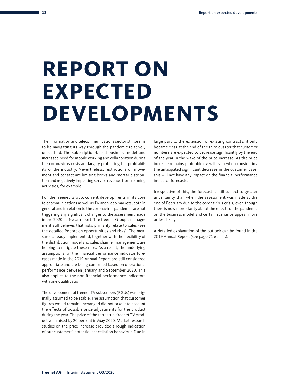# **REPORT ON EXPECTED DEVELOPMENTS**

The information and telecommunications sector still seems to be navigating its way through the pandemic relatively unscathed. The subscription-based business model and increased need for mobile working and collaboration during the coronavirus crisis are largely protecting the profitability of the industry. Nevertheless, restrictions on movement and contact are limiting bricks-and-mortar distribution and negatively impacting service revenue from roaming activities, for example.

For the freenet Group, current developments in its core telecommunications as well as TV and video markets, both in general and in relation to the coronavirus pandemic, are not triggering any significant changes to the assessment made in the 2020 half-year report. The freenet Group's management still believes that risks primarily relate to sales (see the detailed Report on opportunities and risks). The measures already implemented, together with the flexibility of the distribution model and sales channel management, are helping to mitigate these risks. As a result, the underlying assumptions for the financial performance indicator forecasts made in the 2019 Annual Report are still considered appropriate and are being confirmed based on operational performance between January and September 2020. This also applies to the non-financial performance indicators with one qualification.

The development of freenet TV subscribers (RGUs) was originally assumed to be stable. The assumption that customer figures would remain unchanged did not take into account the effects of possible price adjustments for the product during the year. The price of the terrestrial freenet TV product was raised by 20 percent in May 2020. Market research studies on the price increase provided a rough indication of our customers' potential cancellation behaviour. Due in

large part to the extension of existing contracts, it only became clear at the end of the third quarter that customer numbers are expected to decrease significantly by the end of the year in the wake of the price increase. As the price increase remains profitable overall even when considering the anticipated significant decrease in the customer base, this will not have any impact on the financial performance indicator forecasts.

Irrespective of this, the forecast is still subject to greater uncertainty than when the assessment was made at the end of February due to the coronavirus crisis, even though there is now more clarity about the effects of the pandemic on the business model and certain scenarios appear more or less likely.

A detailed explanation of the outlook can be found in the 2019 Annual Report (see page 71 et seq.).

<span id="page-13-0"></span>**12**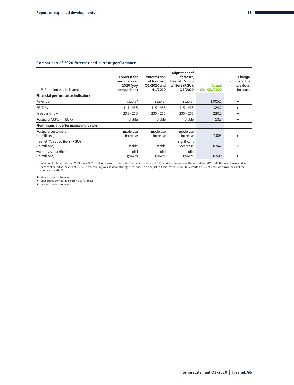#### Comparison of 2020 forecast and current performance

| In EUR millions/as indicated                  | Forecast for<br>financial year<br>2020 (yoy<br>comparison) | Conformation<br>of forecast,<br>Q1/2020 and<br>H1/2020 | Adjustment of<br>forecast.<br>freenet TV sub-<br>scribers (RGU),<br>Q3/2020 | <b>Actual</b><br>Q1-Q3/2020 | Change<br>compared to<br>previous<br>forecast |
|-----------------------------------------------|------------------------------------------------------------|--------------------------------------------------------|-----------------------------------------------------------------------------|-----------------------------|-----------------------------------------------|
| <b>Financial performance indicators</b>       |                                                            |                                                        |                                                                             |                             |                                               |
| Revenue                                       | stable <sup>1</sup>                                        | stable <sup>1</sup>                                    | stable <sup>1</sup>                                                         | 1,905.5                     | ▶                                             |
| <b>EBITDA</b>                                 | $415 - 435$                                                | $415 - 435$                                            | $415 - 435$                                                                 | 329.2                       | ▶                                             |
| Free cash flow                                | $235 - 255$                                                | $235 - 255$                                            | $235 - 255$                                                                 | 220.2                       |                                               |
| Postpaid ARPU (in EUR)                        | stable                                                     | stable                                                 | stable                                                                      | 18.3                        |                                               |
| Non-financial performance indicators          |                                                            |                                                        |                                                                             |                             |                                               |
| Postpaid customers<br>(in millions)           | moderate<br>increase                                       | moderate<br>increase                                   | moderate<br>increase                                                        | 7.005                       | ▶                                             |
| freenet TV subscribers (RGU)<br>(in millions) | stable                                                     | stable                                                 | significant<br>decrease                                                     | 0.942                       | $\overline{\mathbf{v}}$                       |
| waipu.tv subscribers<br>(in millions)         | solid<br>growth                                            | solid<br>growth                                        | solid<br>growth                                                             | 0.509                       | ▶                                             |

1 Revenue for financial year 2019 was 2,932.5 million euros. This included hardware revenue of 323.5 million euros from the subsidiary MOTION TM, which was sold and deconsolidated at the end of 2019. The subsidiary was sold for strategic reasons. On an adjusted basis, revenue for 2019 would be 2,609.1 million euros (basis of the forecast for 2020).

▲ above previous forecast<br>► unchanged compared to previous forecast<br>▼ below previous forecast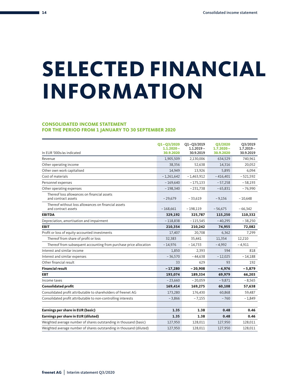## <span id="page-15-0"></span>**SELECTED FINANCIAL INFORMATION**

#### **CONSOLIDATED INCOME STATEMENT FOR THE PERIOD FROM 1 JANUARY TO 30 SEPTEMBER 2020**

| In EUR '000s/as indicated                                                  | $Q1 - Q3/2020$<br>$1.1.2020 -$<br>30.9.2020 | $Q1 - Q3/2019$<br>$1.1.2019 -$<br>30.9.2019 | <b>Q3/2020</b><br>$1.7.2020 -$<br>30.9.2020 | Q3/2019<br>$1.7.2019 -$<br>30.9.2019 |
|----------------------------------------------------------------------------|---------------------------------------------|---------------------------------------------|---------------------------------------------|--------------------------------------|
| Revenue                                                                    | 1,905,509                                   | 2,130,006                                   | 634,529                                     | 740,961                              |
| Other operating income                                                     | 38,356                                      | 52,638                                      | 14,316                                      | 20,052                               |
| Other own work capitalised                                                 | 14,949                                      | 13,926                                      | 5,895                                       | 6,094                                |
| Cost of materials                                                          | $-1,261,642$                                | $-1,463,912$                                | $-416,401$                                  | $-521,592$                           |
| Personnel expenses                                                         | $-169,640$                                  | $-175,133$                                  | $-57,258$                                   | $-58,193$                            |
| Other operating expenses                                                   | $-198,340$                                  | $-231,738$                                  | $-65,831$                                   | $-76,990$                            |
| Thereof loss allowances on financial assets                                |                                             |                                             |                                             |                                      |
| and contract assets                                                        | $-29,679$                                   | $-33,619$                                   | $-9,156$                                    | $-10,648$                            |
| Thereof without loss allowances on financial assets<br>and contract assets | $-168,661$                                  | $-198,119$                                  | $-56,675$                                   | $-66,342$                            |
| <b>EBITDA</b>                                                              | 329,192                                     | 325,787                                     | 115,250                                     | 110,332                              |
| Depreciation, amortisation and impairment                                  | $-118,838$                                  | $-115,545$                                  | $-40,295$                                   | $-38,250$                            |
| <b>EBIT</b>                                                                | 210,354                                     | 210,242                                     | 74,955                                      | 72,082                               |
| Profit or loss of equity-accounted investments                             | 17,407                                      | 20,708                                      | 6,362                                       | 7,299                                |
| Thereof from share of profit or loss                                       | 32,383                                      | 35,441                                      | 11,354                                      | 12,210                               |
| Thereof from subsequent accounting from purchase price allocation          | $-14,976$                                   | $-14,733$                                   | $-4,992$                                    | $-4,911$                             |
| Interest and similar income                                                | 1,850                                       | 2,393                                       | 594                                         | 818                                  |
| Interest and similar expenses                                              | $-36,570$                                   | $-44,638$                                   | $-12,025$                                   | $-14,188$                            |
| Other financial result                                                     | 33                                          | 629                                         | 93                                          | 192                                  |
| <b>Financial result</b>                                                    | $-17,280$                                   | $-20,908$                                   | $-4,976$                                    | $-5,879$                             |
| <b>EBT</b>                                                                 | 193,074                                     | 189,334                                     | 69,979                                      | 66,203                               |
| Income taxes                                                               | $-23,660$                                   | $-20,059$                                   | $-9,871$                                    | $-8,565$                             |
| <b>Consolidated profit</b>                                                 | 169,414                                     | 169,275                                     | 60,108                                      | 57,638                               |
| Consolidated profit attributable to shareholders of freenet AG             | 173,280                                     | 176,430                                     | 60,868                                      | 59,487                               |
| Consolidated profit attributable to non-controlling interests              | $-3,866$                                    | $-7,155$                                    | $-760$                                      | $-1,849$                             |
| Earnings per share in EUR (basic)                                          | 1.35                                        | 1.38                                        | 0.48                                        | 0.46                                 |
| Earnings per share in EUR (diluted)                                        | 1.35                                        | 1.38                                        | 0.48                                        | 0.46                                 |
| Weighted average number of shares outstanding in thousand (basic)          | 127,950                                     | 128,011                                     | 127,950                                     | 128,011                              |
| Weighted average number of shares outstanding in thousand (diluted)        | 127,950                                     | 128,011                                     | 127,950                                     | 128,011                              |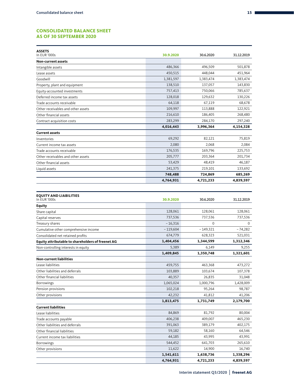#### **CONSOLIDATED BALANCE SHEET AS OF 30 SEPTEMBER 2020**

| <b>ASSETS</b><br>In EUR '000s      | 30.9.2020 | 30.6.2020 | 31.12.2019 |
|------------------------------------|-----------|-----------|------------|
| Non-current assets                 |           |           |            |
| Intangible assets                  | 486,366   | 496,509   | 501,878    |
| Lease assets                       | 450,515   | 448,044   | 451,964    |
| Goodwill                           | 1,381,597 | 1,383,474 | 1,383,474  |
| Property, plant and equipment      | 138,510   | 137,057   | 143,830    |
| Equity-accounted investments       | 757,413   | 750,066   | 785,637    |
| Deferred income tax assets         | 128,018   | 129,632   | 130,226    |
| Trade accounts receivable          | 64,118    | 67,119    | 68,678     |
| Other receivables and other assets | 109,997   | 113.888   | 122,921    |
| Other financial assets             | 216,610   | 186,405   | 268,480    |
| Contract acquisition costs         | 283,299   | 284,170   | 297,240    |
|                                    | 4,016,443 | 3,996,364 | 4,154,328  |
| <b>Current assets</b>              |           |           |            |
| Inventories                        | 69,292    | 82,121    | 75,819     |
| Current income tax assets          | 2,080     | 2,068     | 2,084      |
| Trade accounts receivable          | 176,535   | 169,796   | 225,753    |
| Other receivables and other assets | 205,777   | 203,364   | 201,734    |
| Other financial assets             | 53,429    | 48,419    | 46,187     |
| Liquid assets                      | 241,375   | 219,101   | 133,692    |
|                                    | 748,488   | 724,869   | 685,269    |
|                                    | 4,764,931 | 4,721,233 | 4,839,597  |

| <b>EQUITY AND LIABILITIES</b><br>In EUR '000s     | 30.9.2020  | 30.6.2020  | 31.12.2019 |
|---------------------------------------------------|------------|------------|------------|
| <b>Equity</b>                                     |            |            |            |
| Share capital                                     | 128,061    | 128,061    | 128,061    |
| Capital reserves                                  | 737,536    | 737,536    | 737,536    |
| Treasury shares                                   | $-16,316$  | $\Omega$   | $\Omega$   |
| Cumulative other comprehensive income             | $-119,604$ | $-149,321$ | $-74,282$  |
| Consolidated net retained profits                 | 674,779    | 628,323    | 521,031    |
| Equity attributable to shareholders of freenet AG | 1,404,456  | 1,344,599  | 1,312,346  |
| Non-controlling interests in equity               | 5,389      | 6,149      | 9,255      |
|                                                   | 1,409,845  | 1,350,748  | 1,321,601  |
| <b>Non-current liabilities</b>                    |            |            |            |
| Lease liabilities                                 | 459,755    | 463,368    | 473,272    |
| Other liabilities and deferrals                   | 103,889    | 103,674    | 107,378    |
| Other financial liabilities                       | 40,357     | 26,835     | 31,048     |
| Borrowings                                        | 1,065,024  | 1,000,796  | 1,428,009  |
| Pension provisions                                | 102,218    | 95,264     | 98,787     |
| Other provisions                                  | 42,232     | 41,812     | 41,206     |
|                                                   | 1,813,475  | 1,731,749  | 2,179,700  |
| <b>Current liabilities</b>                        |            |            |            |
| Lease liabilities                                 | 84,869     | 81,792     | 80,004     |
| Trade accounts payable                            | 406,238    | 409,007    | 465,230    |
| Other liabilities and deferrals                   | 391,063    | 389,179    | 402,175    |
| Other financial liabilities                       | 59,182     | 58,160     | 64,546     |
| Current income tax liabilities                    | 44,185     | 43,995     | 43,991     |
| Borrowings                                        | 544,452    | 641,703    | 265,610    |
| Other provisions                                  | 11,622     | 14,900     | 16,740     |
|                                                   | 1,541,611  | 1,638,736  | 1,338,296  |
|                                                   | 4,764,931  | 4,721,233  | 4,839,597  |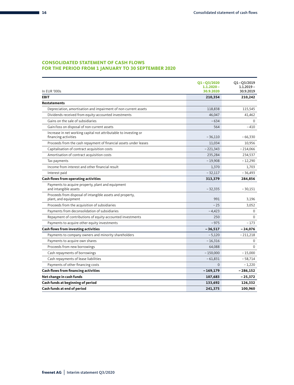#### **CONSOLIDATED STATEMENT OF CASH FLOWS FOR THE PERIOD FROM 1 JANUARY TO 30 SEPTEMBER 2020**

| In EUR '000s                                                                             | $Q1 - Q3/2020$<br>$1.1.2020 -$<br>30.9.2020 | Q1-Q3/2019<br>$1.1.2019 -$<br>30.9.2019 |
|------------------------------------------------------------------------------------------|---------------------------------------------|-----------------------------------------|
| <b>EBIT</b>                                                                              | 210,354                                     | 210,242                                 |
| <b>Restatements</b>                                                                      |                                             |                                         |
| Depreciation, amortisation and impairment of non-current assets                          | 118,838                                     | 115,545                                 |
| Dividends received from equity-accounted investments                                     | 46,047                                      | 41,462                                  |
| Gains on the sale of subsidiaries                                                        | $-634$                                      | $\Omega$                                |
| Gain/loss on disposal of non-current assets                                              | 564                                         | -410                                    |
| Increase in net working capital not attributable to investing or<br>financing activities | $-36,110$                                   | $-66,330$                               |
| Proceeds from the cash repayment of financial assets under leases                        | 11,034                                      | 10,956                                  |
| Capitalisation of contract acquisition costs                                             | $-221,343$                                  | $-214,066$                              |
| Amortisation of contract acquisition costs                                               | 235,284                                     | 234,537                                 |
| Tax payments                                                                             | $-19,908$                                   | $-12,290$                               |
| Income from interest and other financial result                                          | 1,370                                       | 1,703                                   |
| Interest paid                                                                            | $-32,117$                                   | $-36,493$                               |
| <b>Cash flows from operating activities</b>                                              | 313,379                                     | 284,856                                 |
| Payments to acquire property, plant and equipment<br>and intangible assets               | $-32,335$                                   | $-30,151$                               |
| Proceeds from disposal of intangible assets and property,<br>plant, and equipment        | 991                                         | 3,196                                   |
| Proceeds from the acquisition of subsidiaries                                            | $-25$                                       | 3,052                                   |
| Payments from deconsolidation of subsidiaries                                            | $-4,423$                                    | $\mathbf 0$                             |
| Repayment of contributions of equity-accounted investments                               | 250                                         | $\Omega$                                |
| Payments to acquire other equity investments                                             | $-975$                                      | - 173                                   |
| <b>Cash flows from investing activities</b>                                              | $-36,517$                                   | $-24,076$                               |
| Payments to company owners and minority shareholders                                     | $-5,120$                                    | $-211,218$                              |
| Payments to acquire own shares                                                           | $-16,316$                                   | $\Omega$                                |
| Proceeds from new borrowings                                                             | 64,088                                      | $\Omega$                                |
| Cash repayments of borrowings                                                            | $-150,000$                                  | $-15,000$                               |
| Cash repayments of lease liabilities                                                     | $-61,831$                                   | $-58,714$                               |
| Payments of other financing costs                                                        | $\Omega$                                    | - 1,220                                 |
| <b>Cash flows from financing activities</b>                                              | $-169,179$                                  | $-286,152$                              |
| Net change in cash funds                                                                 | 107,683                                     | - 25,372                                |
| Cash funds at beginning of period                                                        | 133,692                                     | 126,332                                 |
| Cash funds at end of period                                                              | 241,375                                     | 100,960                                 |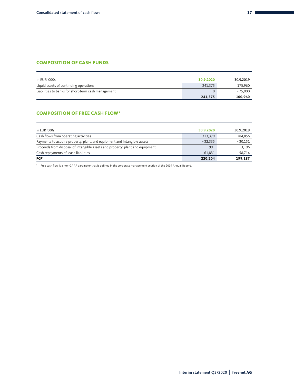#### **COMPOSITION OF CASH FUNDS**

| In EUR '000s                                        | 30.9.2020 | 30.9.2019 |
|-----------------------------------------------------|-----------|-----------|
| Liquid assets of continuing operations              | 241,375   | 175,960   |
| Liabilities to banks for short-term cash management |           | $-75,000$ |
|                                                     | 241,375   | 100,960   |

#### **COMPOSITION OF FREE CASH FLOW1**

| 199,187   |
|-----------|
| $-58,714$ |
| 3.196     |
| $-30,151$ |
| 284,856   |
| 30.9.2019 |
|           |

1 Free cash flow is a non-GAAP parameter that is defined in the corporate management section of the 2019 Annual Report.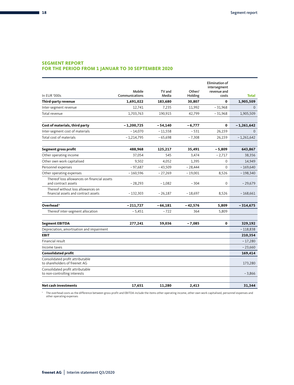#### **SEGMENT REPORT**

#### **FOR THE PERIOD FROM 1 JANUAR TO 30 SEPTEMBER 2020**

| In EUR '000s                                                               | Mobile<br>Communications | TV and<br>Media | Other/<br>Holding  | Elimination of<br>intersegment<br>revenue and<br>costs | <b>Total</b> |
|----------------------------------------------------------------------------|--------------------------|-----------------|--------------------|--------------------------------------------------------|--------------|
| Third-party revenue                                                        | 1,691,022                | 183,680         | 30,807             | $\mathbf 0$                                            | 1,905,509    |
| Inter-segment revenue                                                      | 12,741                   | 7,235           | 11,992             | $-31,968$                                              | $\Omega$     |
| Total revenue                                                              | 1,703,763                | 190,915         | 42,799             | $-31,968$                                              | 1,905,509    |
|                                                                            | $-1,200,725$             |                 |                    | 0                                                      |              |
| Cost of materials, third party                                             |                          | $-54,140$       | $-6,777$<br>$-531$ |                                                        | - 1,261,642  |
| Inter-segment cost of materials<br>Total cost of materials                 | $-14,070$                | $-11,558$       |                    | 26,159                                                 | $\Omega$     |
|                                                                            | $-1,214,795$             | $-65,698$       | $-7,308$           | 26,159                                                 | $-1,261,642$ |
| <b>Segment gross profit</b>                                                | 488,968                  | 125,217         | 35,491             | $-5,809$                                               | 643,867      |
| Other operating income                                                     | 37,054                   | 545             | 3,474              | $-2,717$                                               | 38,356       |
| Other own work capitalised                                                 | 9,502                    | 4,052           | 1,395              | $\Omega$                                               | 14,949       |
| Personnel expenses                                                         | $-97,687$                | $-43,509$       | $-28,444$          | 0                                                      | $-169,640$   |
| Other operating expenses                                                   | $-160,596$               | $-27,269$       | $-19,001$          | 8,526                                                  | $-198,340$   |
| Thereof loss allowances on financial assets<br>and contract assets         | $-28,293$                | $-1,082$        | $-304$             | $\mathbf 0$                                            | $-29,679$    |
| Thereof without loss allowances on<br>financial assets and contract assets | $-132,303$               | $-26,187$       | $-18,697$          | 8,526                                                  | $-168,661$   |
|                                                                            |                          |                 |                    |                                                        |              |
| Overhead <sup>1</sup>                                                      | $-211,727$               | $-66,181$       | $-42,576$          | 5,809                                                  | $-314,675$   |
| Thereof inter-segment allocation                                           | $-5,451$                 | $-722$          | 364                | 5,809                                                  |              |
| <b>Segment EBITDA</b>                                                      | 277,241                  | 59,036          | $-7,085$           | $\mathbf{0}$                                           | 329,192      |
| Depreciation, amortisation and impairment                                  |                          |                 |                    |                                                        | $-118,838$   |
| <b>EBIT</b>                                                                |                          |                 |                    |                                                        | 210,354      |
| Financial result                                                           |                          |                 |                    |                                                        | $-17,280$    |
| Income taxes                                                               |                          |                 |                    |                                                        | $-23,660$    |
| <b>Consolidated profit</b>                                                 |                          |                 |                    |                                                        | 169,414      |
| Consolidated profit attributable<br>to shareholders of freenet AG          |                          |                 |                    |                                                        | 173,280      |
| Consolidated profit attributable<br>to non-controlling interests           |                          |                 |                    |                                                        | $-3,866$     |
| <b>Net cash investments</b>                                                | 17,651                   | 11,280          | 2.413              |                                                        | 31,344       |

' The overhead costs as the difference between gross profit and EBITDA include the items other operating income, other own work capitalised, personnel expenses and<br>other operating expenses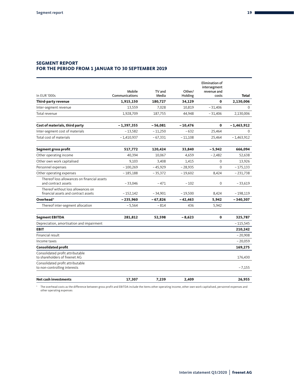#### **SEGMENT REPORT FOR THE PERIOD FROM 1 JANUAR TO 30 SEPTEMBER 2019**

|                                                                            |                          |                 |                   | <b>Elimination of</b><br>intersegment |              |
|----------------------------------------------------------------------------|--------------------------|-----------------|-------------------|---------------------------------------|--------------|
| In EUR '000s                                                               | Mobile<br>Communications | TV and<br>Media | Other/<br>Holding | revenue and<br>costs                  | <b>Total</b> |
| Third-party revenue                                                        | 1,915,150                | 180,727         | 34,129            | $\bf{0}$                              | 2,130,006    |
| Inter-segment revenue                                                      | 13,559                   | 7,028           | 10,819            | $-31,406$                             | $\mathbf 0$  |
| Total revenue                                                              | 1,928,709                | 187,755         | 44,948            | $-31,406$                             | 2,130,006    |
| Cost of materials, third party                                             | $-1,397,355$             | $-56,081$       | - 10,476          | $\bf{0}$                              | - 1,463,912  |
| Inter-segment cost of materials                                            | $-13,582$                | $-11,250$       | $-632$            | 25,464                                | $\Omega$     |
| Total cost of materials                                                    | $-1,410,937$             | $-67,331$       | $-11,108$         | 25,464                                | $-1,463,912$ |
| Segment gross profit                                                       | 517,772                  | 120,424         | 33,840            | $-5,942$                              | 666,094      |
| Other operating income                                                     | 40,394                   | 10,067          | 4,659             | $-2,482$                              | 52,638       |
| Other own work capitalised                                                 | 9,103                    | 3,408           | 1,415             | $\mathbf 0$                           | 13,926       |
| Personnel expenses                                                         | $-100,269$               | $-45,929$       | $-28,935$         | $\Omega$                              | $-175,133$   |
| Other operating expenses                                                   | $-185,188$               | $-35,372$       | $-19,602$         | 8,424                                 | $-231,738$   |
| Thereof loss allowances on financial assets<br>and contract assets         | $-33,046$                | $-471$          | $-102$            | $\Omega$                              | $-33.619$    |
| Thereof without loss allowances on<br>financial assets and contract assets | $-152,142$               | $-34,901$       | $-19,500$         | 8,424                                 | $-198,119$   |
| Overhead <sup>1</sup>                                                      | $-235,960$               | $-67,826$       | $-42,463$         | 5,942                                 | $-340,307$   |
| Thereof inter-segment allocation                                           | $-5,564$                 | $-814$          | 436               | 5,942                                 |              |
| <b>Segment EBITDA</b>                                                      | 281,812                  | 52,598          | $-8,623$          | $\bf{0}$                              | 325,787      |
| Depreciation, amortisation and impairment                                  |                          |                 |                   |                                       | $-115,545$   |
| <b>EBIT</b>                                                                |                          |                 |                   |                                       | 210,242      |
| Financial result                                                           |                          |                 |                   |                                       | $-20,908$    |
| Income taxes                                                               |                          |                 |                   |                                       | $-20,059$    |
| <b>Consolidated profit</b>                                                 |                          |                 |                   |                                       | 169,275      |
| Consolidated profit attributable<br>to shareholders of freenet AG          |                          |                 |                   |                                       | 176,430      |
| Consolidated profit attributable<br>to non-controlling interests           |                          |                 |                   |                                       | $-7,155$     |
| <b>Net cash investments</b>                                                | 17,307                   | 7,239           | 2,409             |                                       | 26,955       |

' The overhead costs as the difference between gross profit and EBITDA include the items other operating income, other own work capitalised, personnel expenses and<br>other operating expenses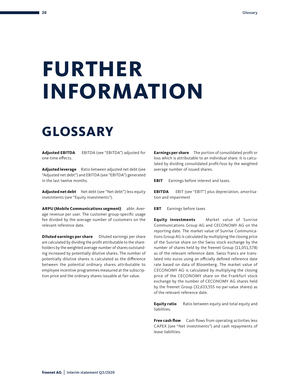# <span id="page-21-0"></span>**FURTHER INFORMATION**

### **GLOSSARY**

**Adjusted EBITDA** EBITDA (see "EBITDA") adjusted for one-time effects.

**Adjusted leverage** Ratio between adjusted net debt (see "Adjusted net debt") and EBITDA (see "EBITDA") generated in the last twelve months.

**Adjusted net debt** Net debt (see "Net debt") less equity investments (see "Equity investments").

ARPU (Mobile Communications segment) abbr. Average revenue per user. The customer group-specific usage fee divided by the average number of customers on the relevant reference date.

**Diluted earnings per share** Diluted earnings per share are calculated by dividing the profit attributable to the shareholders by the weighted average number of shares outstanding increased by potentially dilutive shares. The number of potentially dilutive shares is calculated as the difference between the potential ordinary shares attributable to employee incentive programmes measured at the subscription price and the ordinary shares issuable at fair value.

**Earnings per share** The portion of consolidated profit or loss which is attributable to an individual share. It is calculated by dividing consolidated profit/loss by the weighted average number of issued shares.

**EBIT** Earnings before interest and taxes.

**EBITDA** EBIT (see "EBIT") plus depreciation, amortisation and impairment

**EBT** Earnings before taxes

**Equity investments**  Market value of Sunrise Communications Group AG and CECONOMY AG on the reporting date. The market value of Sunrise Communications Group AG is calculated by multiplying the closing price of the Sunrise share on the Swiss stock exchange by the number of shares held by the freenet Group (11,051,578) as of the relevant reference date. Swiss francs are translated into euros using an officially defined reference date rate based on data of Bloomberg. The market value of CECONOMY AG is calculated by multiplying the closing price of the CECONOMY share on the Frankfurt stock exchange by the number of CECONOMY AG shares held by the freenet Group (32,633,555 no-par-value shares) as of the relevant reference date.

**Equity ratio** Ratio between equity and total equity and liabilities.

**Free cash flow** Cash flows from operating activities less CAPEX (see "Net investments") and cash repayments of lease liabilities.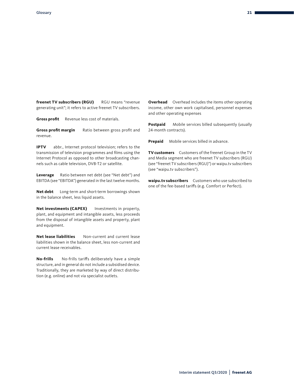**freenet TV subscribers (RGU)** RGU means "revenue generating unit"; it refers to active freenet TV subscribers.

**Gross profit** Revenue less cost of materials.

**Gross profit margin** Ratio between gross profit and revenue.

**IPTV** abbr., Internet protocol television; refers to the transmission of television programmes and films using the Internet Protocol as opposed to other broadcasting channels such as cable television, DVB-T2 or satellite.

Leverage Ratio between net debt (see "Net debt") and EBITDA (see "EBITDA") generated in the last twelve months.

**Net debt** Long-term and short-term borrowings shown in the balance sheet, less liquid assets.

**Net investments (CAPEX)** Investments in property, plant, and equipment and intangible assets, less proceeds from the disposal of intangible assets and property, plant and equipment.

**Net lease liabilities** Non-current and current lease liabilities shown in the balance sheet, less non-current and current lease receivables.

**No-frills** No-frills tariffs deliberately have a simple structure, and in general do not include a subsidised device. Traditionally, they are marketed by way of direct distribution (e.g. online) and not via specialist outlets.

**Overhead** Overhead includes the items other operating income, other own work capitalised, personnel expenses and other operating expenses

**Postpaid** Mobile services billed subsequently (usually 24-month contracts).

**Prepaid** Mobile services billed in advance.

**TV customers** Customers of the freenet Group in the TV and Media segment who are freenet TV subscribers (RGU) (see "freenet TV subscribers (RGU)") or waipu.tv subscribers (see "waipu.tv subscribers").

**waipu.tv subscribers** Customers who use subscribed to one of the fee-based tariffs (e.g. Comfort or Perfect).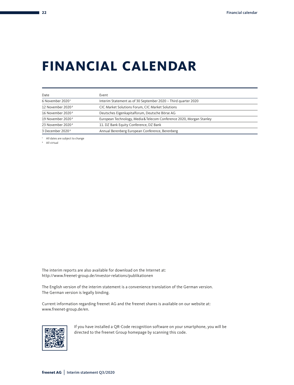### **FINANCIAL CALENDAR**

| Event                                                                |
|----------------------------------------------------------------------|
| Interim Statement as of 30 September 2020 - Third quarter 2020       |
| CIC Market Solutions Forum, CIC Market Solutions                     |
| Deutsches Eigenkapitalforum, Deutsche Börse AG                       |
| European Technology, Media & Telecom Conference 2020, Morgan Stanley |
| 11. DZ Bank Equity Conference, DZ Bank                               |
| Annual Berenberg European Conference, Berenberg                      |
|                                                                      |

1 All dates are subject to change

2 All virtual

The interim reports are also available for download on the Internet at: http://www.freenet-group.de/investor-relations/publikationen

The English version of the interim statement is a convenience translation of the German version. The German version is legally binding.

Current information regarding freenet AG and the freenet shares is available on our website at: www.freenet-group.de/en.



If you have installed a QR-Code recognition software on your smartphone, you will be directed to the freenet Group homepage by scanning this code.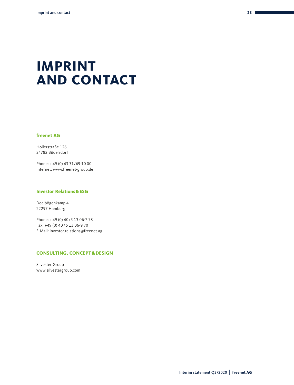### **IMPRINT AND CONTACT**

#### **freenet AG**

Hollerstraße 126 24782 Büdelsdorf

Phone: + 49 (0) 43 31/69-10 00 Internet: www.freenet-group.de

#### **Investor Relations&ESG**

Deelbögenkamp 4 22297 Hamburg

Phone: + 49 (0) 40/5 13 06-7 78 Fax: +49 (0) 40 / 5 13 06-9 70 E-Mail: investor.relations@freenet.ag

#### **CONSULTING, CONCEPT&DESIGN**

Silvester Group www.silvestergroup.com